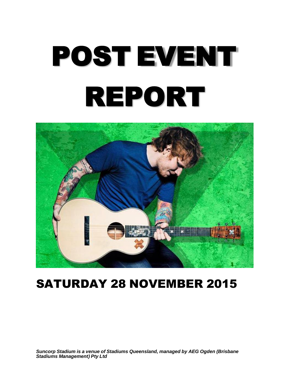# POST EVENT REPORT



# SATURDAY 28 NOVEMBER 2015

*Suncorp Stadium is a venue of Stadiums Queensland, managed by AEG Ogden (Brisbane Stadiums Management) Pty Ltd*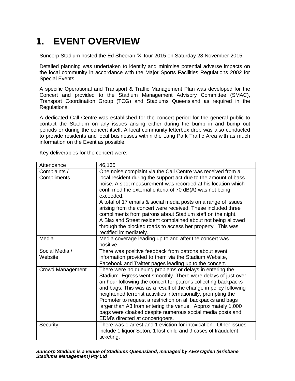# **1. EVENT OVERVIEW**

Suncorp Stadium hosted the Ed Sheeran 'X' tour 2015 on Saturday 28 November 2015.

Detailed planning was undertaken to identify and minimise potential adverse impacts on the local community in accordance with the Major Sports Facilities Regulations 2002 for Special Events.

A specific Operational and Transport & Traffic Management Plan was developed for the Concert and provided to the Stadium Management Advisory Committee (SMAC), Transport Coordination Group (TCG) and Stadiums Queensland as required in the Regulations.

A dedicated Call Centre was established for the concert period for the general public to contact the Stadium on any issues arising either during the bump in and bump out periods or during the concert itself. A local community letterbox drop was also conducted to provide residents and local businesses within the Lang Park Traffic Area with as much information on the Event as possible.

Key deliverables for the concert were:

| Attendance                  | 46,135                                                                                                                                                                                                                                                                                                                                                                                                                                                                                                                                                                                                                            |
|-----------------------------|-----------------------------------------------------------------------------------------------------------------------------------------------------------------------------------------------------------------------------------------------------------------------------------------------------------------------------------------------------------------------------------------------------------------------------------------------------------------------------------------------------------------------------------------------------------------------------------------------------------------------------------|
| Complaints /<br>Compliments | One noise complaint via the Call Centre was received from a<br>local resident during the support act due to the amount of bass<br>noise. A spot measurement was recorded at his location which<br>confirmed the external criteria of 70 dB(A) was not being<br>exceeded.<br>A total of 17 emails & social media posts on a range of issues<br>arising from the concert were received. These included three<br>compliments from patrons about Stadium staff on the night.<br>A Blaxland Street resident complained about not being allowed<br>through the blocked roads to access her property. This was<br>rectified immediately. |
| Media                       | Media coverage leading up to and after the concert was<br>positive.                                                                                                                                                                                                                                                                                                                                                                                                                                                                                                                                                               |
| Social Media /<br>Website   | There was positive feedback from patrons about event<br>information provided to them via the Stadium Website,<br>Facebook and Twitter pages leading up to the concert.                                                                                                                                                                                                                                                                                                                                                                                                                                                            |
| <b>Crowd Management</b>     | There were no queuing problems or delays in entering the<br>Stadium. Egress went smoothly. There were delays of just over<br>an hour following the concert for patrons collecting backpacks<br>and bags. This was as a result of the change in policy following<br>heightened terrorist activities internationally, prompting the<br>Promoter to request a restriction on all backpacks and bags<br>larger than A3 from entering the venue. Approximately 1,000<br>bags were cloaked despite numerous social media posts and<br>EDM's directed at concertgoers.                                                                   |
| Security                    | There was 1 arrest and 1 eviction for intoxication. Other issues<br>include 1 liquor Seton, 1 lost child and 9 cases of fraudulent<br>ticketing.                                                                                                                                                                                                                                                                                                                                                                                                                                                                                  |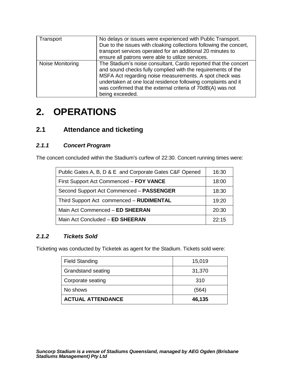| Transport        | No delays or issues were experienced with Public Transport.<br>Due to the issues with cloaking collections following the concert,<br>transport services operated for an additional 20 minutes to<br>ensure all patrons were able to utilize services.                                                                                         |
|------------------|-----------------------------------------------------------------------------------------------------------------------------------------------------------------------------------------------------------------------------------------------------------------------------------------------------------------------------------------------|
| Noise Monitoring | The Stadium's noise consultant, Cardo reported that the concert<br>and sound checks fully complied with the requirements of the<br>MSFA Act regarding noise measurements. A spot check was<br>undertaken at one local residence following complaints and it<br>was confirmed that the external criteria of 70dB(A) was not<br>being exceeded. |

# **2. OPERATIONS**

# **2.1 Attendance and ticketing**

## *2.1.1 Concert Program*

The concert concluded within the Stadium's curfew of 22:30. Concert running times were:

| Public Gates A, B, D & E and Corporate Gates C&F Opened | 16:30 |
|---------------------------------------------------------|-------|
| First Support Act Commenced - FOY VANCE                 | 18:00 |
| Second Support Act Commenced - PASSENGER                | 18:30 |
| Third Support Act commenced - RUDIMENTAL                | 19:20 |
| Main Act Commenced - ED SHEERAN                         | 20:30 |
| Main Act Concluded - ED SHEERAN                         | 22.15 |

## *2.1.2 Tickets Sold*

Ticketing was conducted by Ticketek as agent for the Stadium. Tickets sold were:

| <b>Field Standing</b>     | 15,019 |
|---------------------------|--------|
| <b>Grandstand seating</b> | 31,370 |
| Corporate seating         | 310    |
| No shows                  | (564)  |
| <b>ACTUAL ATTENDANCE</b>  | 46,135 |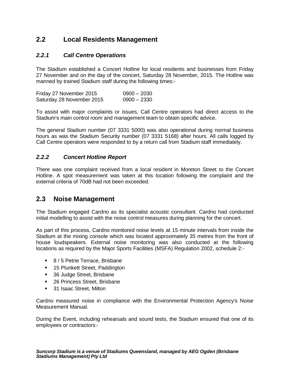# **2.2 Local Residents Management**

### *2.2.1 Call Centre Operations*

The Stadium established a Concert Hotline for local residents and businesses from Friday 27 November and on the day of the concert, Saturday 28 November, 2015. The Hotline was manned by trained Stadium staff during the following times:-

Friday 27 November 2015 0900 – 2030 Saturday 28 November 2015 0900 – 2330

To assist with major complaints or issues, Call Centre operators had direct access to the Stadium's main control room and management team to obtain specific advice.

The general Stadium number (07 3331 5000) was also operational during normal business hours as was the Stadium Security number (07 3331 5168) after hours. All calls logged by Call Centre operators were responded to by a return call from Stadium staff immediately.

#### *2.2.2 Concert Hotline Report*

There was one complaint received from a local resident in Moreton Street to the Concert Hotline. A spot measurement was taken at this location following the complaint and the external criteria of 70dB had not been exceeded.

# **2.3 Noise Management**

The Stadium engaged Cardno as its specialist acoustic consultant. Cardno had conducted initial modelling to assist with the noise control measures during planning for the concert.

As part of this process, Cardno monitored noise levels at 15 minute intervals from inside the Stadium at the mixing console which was located approximately 35 metres from the front of house loudspeakers. External noise monitoring was also conducted at the following locations as required by the Major Sports Facilities (MSFA) Regulation 2002, schedule 2:-

- 8 / 5 Petrie Terrace, Brisbane
- **15 Plunkett Street, Paddington**
- **36 Judge Street, Brisbane**
- 26 Princess Street, Brisbane
- 31 Isaac Street, Milton

Cardno measured noise in compliance with the Environmental Protection Agency's Noise Measurement Manual.

During the Event, including rehearsals and sound tests, the Stadium ensured that one of its employees or contractors:-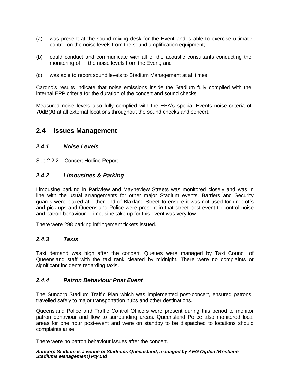- (a) was present at the sound mixing desk for the Event and is able to exercise ultimate control on the noise levels from the sound amplification equipment;
- (b) could conduct and communicate with all of the acoustic consultants conducting the monitoring of the noise levels from the Event; and
- (c) was able to report sound levels to Stadium Management at all times

Cardno's results indicate that noise emissions inside the Stadium fully complied with the internal EPP criteria for the duration of the concert and sound checks

Measured noise levels also fully complied with the EPA's special Events noise criteria of 70dB(A) at all external locations throughout the sound checks and concert.

## **2.4 Issues Management**

#### *2.4.1 Noise Levels*

See 2.2.2 – Concert Hotline Report

#### *2.4.2 Limousines & Parking*

Limousine parking in Parkview and Mayneview Streets was monitored closely and was in line with the usual arrangements for other major Stadium events. Barriers and Security guards were placed at either end of Blaxland Street to ensure it was not used for drop-offs and pick-ups and Queensland Police were present in that street post-event to control noise and patron behaviour. Limousine take up for this event was very low.

There were 298 parking infringement tickets issued.

#### *2.4.3 Taxis*

Taxi demand was high after the concert. Queues were managed by Taxi Council of Queensland staff with the taxi rank cleared by midnight. There were no complaints or significant incidents regarding taxis.

#### *2.4.4 Patron Behaviour Post Event*

The Suncorp Stadium Traffic Plan which was implemented post-concert, ensured patrons travelled safely to major transportation hubs and other destinations.

Queensland Police and Traffic Control Officers were present during this period to monitor patron behaviour and flow to surrounding areas. Queensland Police also monitored local areas for one hour post-event and were on standby to be dispatched to locations should complaints arise.

There were no patron behaviour issues after the concert.

#### *Suncorp Stadium is a venue of Stadiums Queensland, managed by AEG Ogden (Brisbane Stadiums Management) Pty Ltd*